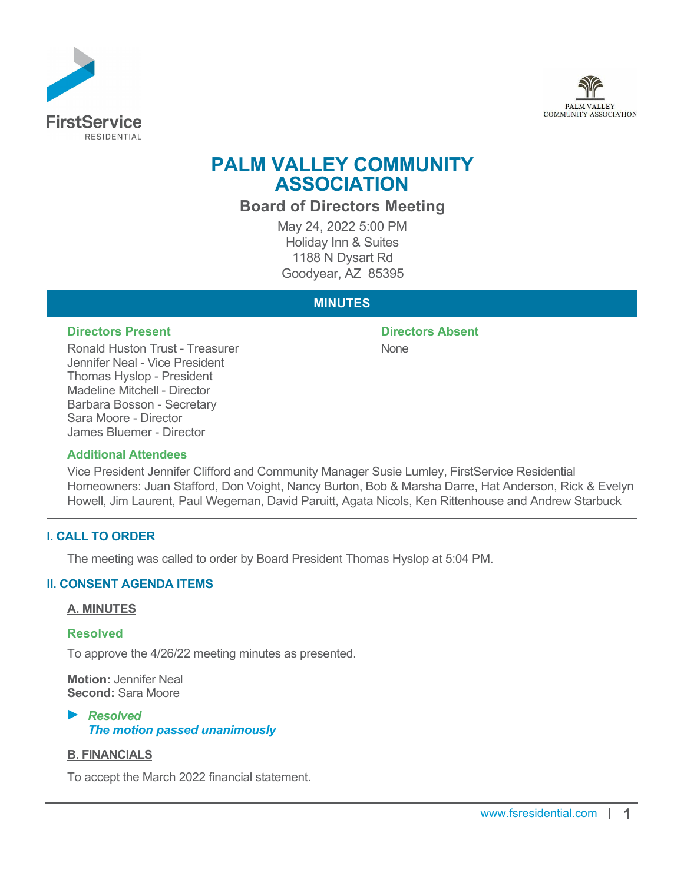



# **PALM VALLEY COMMUNITY ASSOCIATION**

**Board of Directors Meeting**

May 24, 2022 5:00 PM Holiday Inn & Suites 1188 N Dysart Rd Goodyear, AZ 85395

# **MINUTES**

#### **Directors Present Directors Absent**

Ronald Huston Trust - Treasurer Jennifer Neal - Vice President Thomas Hyslop - President Madeline Mitchell - Director Barbara Bosson - Secretary Sara Moore - Director James Bluemer - Director

# None

#### **Additional Attendees**

Vice President Jennifer Clifford and Community Manager Susie Lumley, FirstService Residential Homeowners: Juan Stafford, Don Voight, Nancy Burton, Bob & Marsha Darre, Hat Anderson, Rick & Evelyn Howell, Jim Laurent, Paul Wegeman, David Paruitt, Agata Nicols, Ken Rittenhouse and Andrew Starbuck

# **I. CALL TO ORDER**

The meeting was called to order by Board President Thomas Hyslop at 5:04 PM.

# **II. CONSENT AGENDA ITEMS**

#### **A. MINUTES**

#### **Resolved**

To approve the 4/26/22 meeting minutes as presented.

**Motion:** Jennifer Neal **Second:** Sara Moore

# *Resolved The motion passed unanimously*

# **B. FINANCIALS**

To accept the March 2022 financial statement.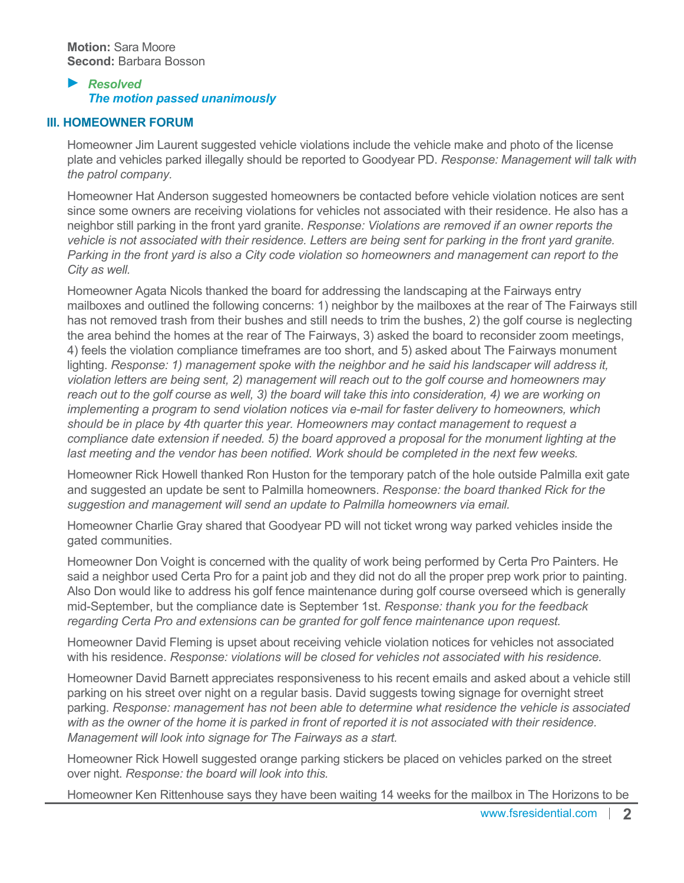# *Resolved The motion passed unanimously*

#### **III. HOMEOWNER FORUM**

Homeowner Jim Laurent suggested vehicle violations include the vehicle make and photo of the license plate and vehicles parked illegally should be reported to Goodyear PD. *Response: Management will talk with the patrol company.*

Homeowner Hat Anderson suggested homeowners be contacted before vehicle violation notices are sent since some owners are receiving violations for vehicles not associated with their residence. He also has a neighbor still parking in the front yard granite. *Response: Violations are removed if an owner reports the vehicle is not associated with their residence. Letters are being sent for parking in the front yard granite. Parking in the front yard is also a City code violation so homeowners and management can report to the City as well.*

Homeowner Agata Nicols thanked the board for addressing the landscaping at the Fairways entry mailboxes and outlined the following concerns: 1) neighbor by the mailboxes at the rear of The Fairways still has not removed trash from their bushes and still needs to trim the bushes, 2) the golf course is neglecting the area behind the homes at the rear of The Fairways, 3) asked the board to reconsider zoom meetings, 4) feels the violation compliance timeframes are too short, and 5) asked about The Fairways monument lighting. *Response: 1) management spoke with the neighbor and he said his landscaper will address it, violation letters are being sent, 2) management will reach out to the golf course and homeowners may reach out to the golf course as well, 3) the board will take this into consideration, 4) we are working on implementing a program to send violation notices via e-mail for faster delivery to homeowners, which should be in place by 4th quarter this year. Homeowners may contact management to request a compliance date extension if needed. 5) the board approved a proposal for the monument lighting at the last meeting and the vendor has been notified. Work should be completed in the next few weeks.*

Homeowner Rick Howell thanked Ron Huston for the temporary patch of the hole outside Palmilla exit gate and suggested an update be sent to Palmilla homeowners. *Response: the board thanked Rick for the suggestion and management will send an update to Palmilla homeowners via email.*

Homeowner Charlie Gray shared that Goodyear PD will not ticket wrong way parked vehicles inside the gated communities.

Homeowner Don Voight is concerned with the quality of work being performed by Certa Pro Painters. He said a neighbor used Certa Pro for a paint job and they did not do all the proper prep work prior to painting. Also Don would like to address his golf fence maintenance during golf course overseed which is generally mid-September, but the compliance date is September 1st. *Response: thank you for the feedback regarding Certa Pro and extensions can be granted for golf fence maintenance upon request.*

Homeowner David Fleming is upset about receiving vehicle violation notices for vehicles not associated with his residence. *Response: violations will be closed for vehicles not associated with his residence.*

Homeowner David Barnett appreciates responsiveness to his recent emails and asked about a vehicle still parking on his street over night on a regular basis. David suggests towing signage for overnight street parking. *Response: management has not been able to determine what residence the vehicle is associated with as the owner of the home it is parked in front of reported it is not associated with their residence. Management will look into signage for The Fairways as a start.*

Homeowner Rick Howell suggested orange parking stickers be placed on vehicles parked on the street over night. *Response: the board will look into this.*

Homeowner Ken Rittenhouse says they have been waiting 14 weeks for the mailbox in The Horizons to be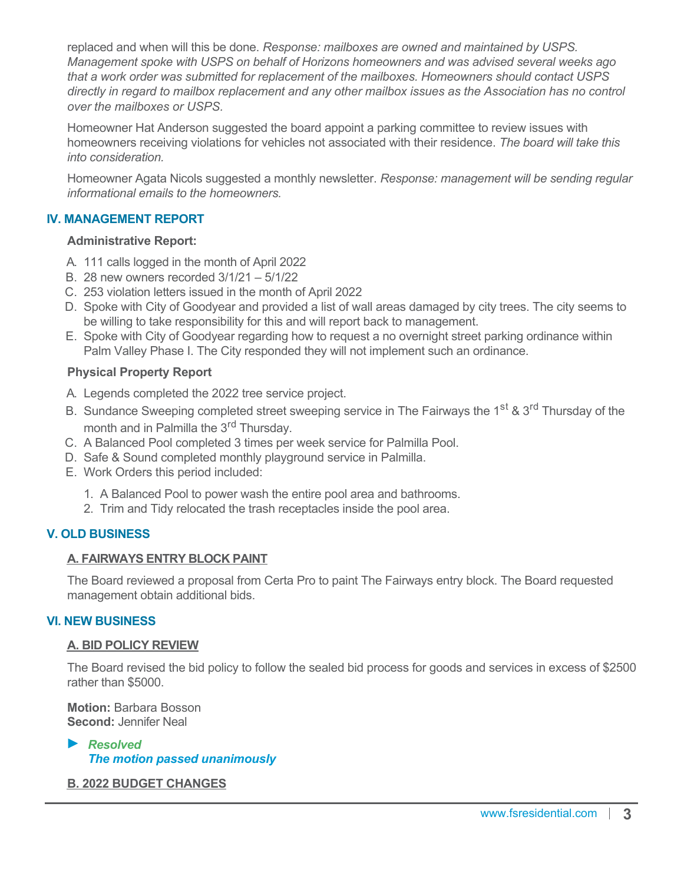replaced and when will this be done. *Response: mailboxes are owned and maintained by USPS. Management spoke with USPS on behalf of Horizons homeowners and was advised several weeks ago that a work order was submitted for replacement of the mailboxes. Homeowners should contact USPS directly in regard to mailbox replacement and any other mailbox issues as the Association has no control over the mailboxes or USPS.*

Homeowner Hat Anderson suggested the board appoint a parking committee to review issues with homeowners receiving violations for vehicles not associated with their residence. *The board will take this into consideration.*

Homeowner Agata Nicols suggested a monthly newsletter. *Response: management will be sending regular informational emails to the homeowners.*

# **IV. MANAGEMENT REPORT**

#### **Administrative Report:**

- A. 111 calls logged in the month of April 2022
- B. 28 new owners recorded 3/1/21 5/1/22
- C. 253 violation letters issued in the month of April 2022
- D. Spoke with City of Goodyear and provided a list of wall areas damaged by city trees. The city seems to be willing to take responsibility for this and will report back to management.
- E. Spoke with City of Goodyear regarding how to request a no overnight street parking ordinance within Palm Valley Phase I. The City responded they will not implement such an ordinance.

# **Physical Property Report**

- A. Legends completed the 2022 tree service project.
- B. Sundance Sweeping completed street sweeping service in The Fairways the 1<sup>st</sup> & 3<sup>rd</sup> Thursday of the month and in Palmilla the 3<sup>rd</sup> Thursday.
- C. A Balanced Pool completed 3 times per week service for Palmilla Pool.
- D. Safe & Sound completed monthly playground service in Palmilla.
- E. Work Orders this period included:
	- 1. A Balanced Pool to power wash the entire pool area and bathrooms.
	- 2. Trim and Tidy relocated the trash receptacles inside the pool area.

# **V. OLD BUSINESS**

#### **A. FAIRWAYS ENTRY BLOCK PAINT**

The Board reviewed a proposal from Certa Pro to paint The Fairways entry block. The Board requested management obtain additional bids.

#### **VI. NEW BUSINESS**

#### **A. BID POLICY REVIEW**

The Board revised the bid policy to follow the sealed bid process for goods and services in excess of \$2500 rather than \$5000.

**Motion:** Barbara Bosson **Second:** Jennifer Neal

*Resolved The motion passed unanimously*

#### **B. 2022 BUDGET CHANGES**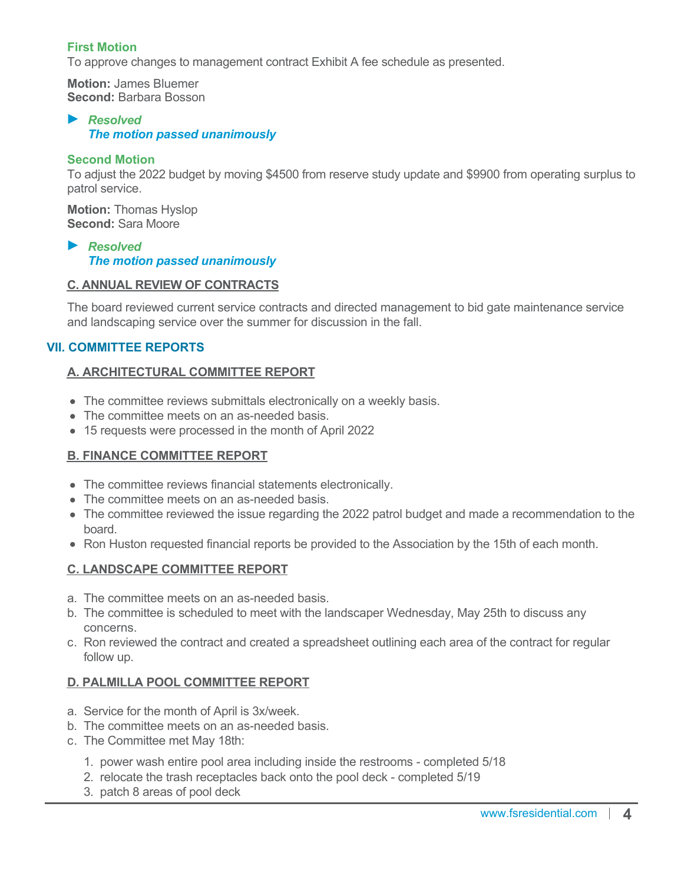# **First Motion**

To approve changes to management contract Exhibit A fee schedule as presented.

**Motion:** James Bluemer **Second:** Barbara Bosson

#### *Resolved The motion passed unanimously*

#### **Second Motion**

To adjust the 2022 budget by moving \$4500 from reserve study update and \$9900 from operating surplus to patrol service.

**Motion:** Thomas Hyslop **Second:** Sara Moore

*Resolved The motion passed unanimously*

#### **C. ANNUAL REVIEW OF CONTRACTS**

The board reviewed current service contracts and directed management to bid gate maintenance service and landscaping service over the summer for discussion in the fall.

# **VII. COMMITTEE REPORTS**

# **A. ARCHITECTURAL COMMITTEE REPORT**

- The committee reviews submittals electronically on a weekly basis.
- The committee meets on an as-needed basis.
- 15 requests were processed in the month of April 2022

# **B. FINANCE COMMITTEE REPORT**

- The committee reviews financial statements electronically.
- The committee meets on an as-needed basis.
- The committee reviewed the issue regarding the 2022 patrol budget and made a recommendation to the board.
- Ron Huston requested financial reports be provided to the Association by the 15th of each month.

#### **C. LANDSCAPE COMMITTEE REPORT**

- a. The committee meets on an as-needed basis.
- b. The committee is scheduled to meet with the landscaper Wednesday, May 25th to discuss any concerns.
- c. Ron reviewed the contract and created a spreadsheet outlining each area of the contract for regular follow up.

#### **D. PALMILLA POOL COMMITTEE REPORT**

- a. Service for the month of April is 3x/week.
- b. The committee meets on an as-needed basis.
- c. The Committee met May 18th:
	- 1. power wash entire pool area including inside the restrooms completed 5/18
	- 2. relocate the trash receptacles back onto the pool deck completed 5/19
	- 3. patch 8 areas of pool deck